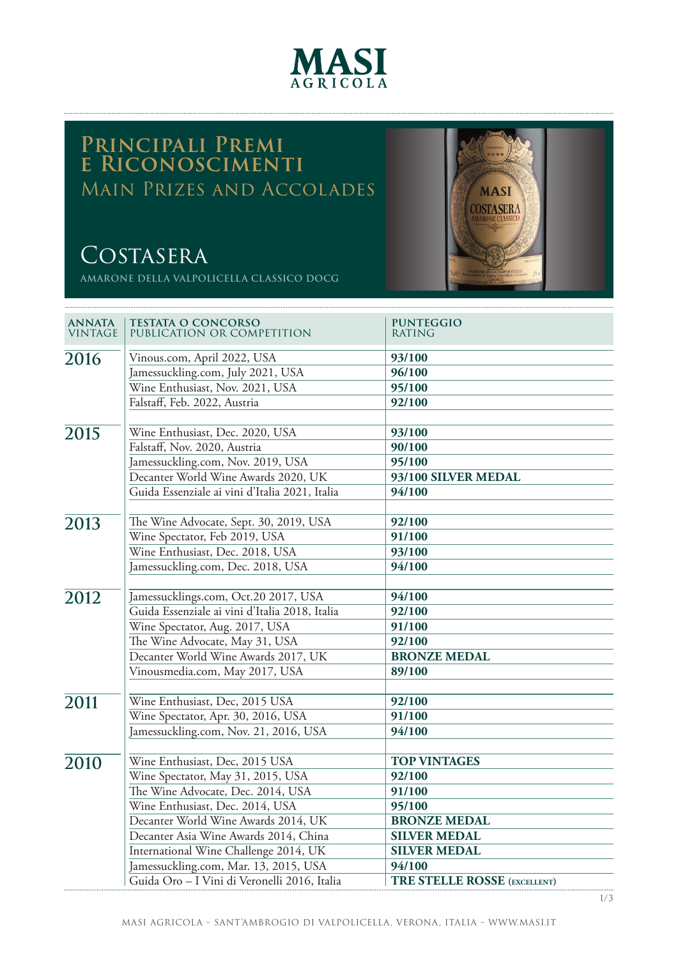

# **Principali Premi e Riconoscimenti** Main Prizes and Accolades

# **COSTASERA**

**AMARONE DELLA VALPOLICELLA CLASSICO DOCG**



| <b>ANNATA</b><br>VINTAGE | <b>TESTATA O CONCORSO</b><br>PUBLICATION OR COMPETITION | <b>PUNTEGGIO</b><br><b>RATING</b>   |
|--------------------------|---------------------------------------------------------|-------------------------------------|
| 2016                     | Vinous.com, April 2022, USA                             | 93/100                              |
|                          | Jamessuckling.com, July 2021, USA                       | 96/100                              |
|                          | Wine Enthusiast, Nov. 2021, USA                         | 95/100                              |
|                          | Falstaff, Feb. 2022, Austria                            | 92/100                              |
|                          |                                                         |                                     |
| 2015                     | Wine Enthusiast, Dec. 2020, USA                         | 93/100                              |
|                          | Falstaff, Nov. 2020, Austria                            | 90/100                              |
|                          | Jamessuckling.com, Nov. 2019, USA                       | 95/100                              |
|                          | Decanter World Wine Awards 2020, UK                     | 93/100 SILVER MEDAL                 |
|                          | Guida Essenziale ai vini d'Italia 2021, Italia          | 94/100                              |
|                          |                                                         |                                     |
| 2013                     | The Wine Advocate, Sept. 30, 2019, USA                  | 92/100                              |
|                          | Wine Spectator, Feb 2019, USA                           | 91/100                              |
|                          | Wine Enthusiast, Dec. 2018, USA                         | 93/100                              |
|                          | Jamessuckling.com, Dec. 2018, USA                       | 94/100                              |
| 2012                     | Jamessucklings.com, Oct.20 2017, USA                    | 94/100                              |
|                          | Guida Essenziale ai vini d'Italia 2018, Italia          | 92/100                              |
|                          | Wine Spectator, Aug. 2017, USA                          | 91/100                              |
|                          | The Wine Advocate, May 31, USA                          | 92/100                              |
|                          | Decanter World Wine Awards 2017, UK                     | <b>BRONZE MEDAL</b>                 |
|                          | Vinousmedia.com, May 2017, USA                          | 89/100                              |
|                          |                                                         |                                     |
| 2011                     | Wine Enthusiast, Dec, 2015 USA                          | 92/100                              |
|                          | Wine Spectator, Apr. 30, 2016, USA                      | 91/100                              |
|                          | Jamessuckling.com, Nov. 21, 2016, USA                   | 94/100                              |
| 2010                     | Wine Enthusiast, Dec, 2015 USA                          | <b>TOP VINTAGES</b>                 |
|                          | Wine Spectator, May 31, 2015, USA                       | 92/100                              |
|                          | The Wine Advocate, Dec. 2014, USA                       | 91/100                              |
|                          | Wine Enthusiast, Dec. 2014, USA                         | 95/100                              |
|                          | Decanter World Wine Awards 2014, UK                     | <b>BRONZE MEDAL</b>                 |
|                          | Decanter Asia Wine Awards 2014, China                   | <b>SILVER MEDAL</b>                 |
|                          | International Wine Challenge 2014, UK                   | <b>SILVER MEDAL</b>                 |
|                          | Jamessuckling.com, Mar. 13, 2015, USA                   | 94/100                              |
|                          | Guida Oro - I Vini di Veronelli 2016, Italia            | <b>TRE STELLE ROSSE (EXCELLENT)</b> |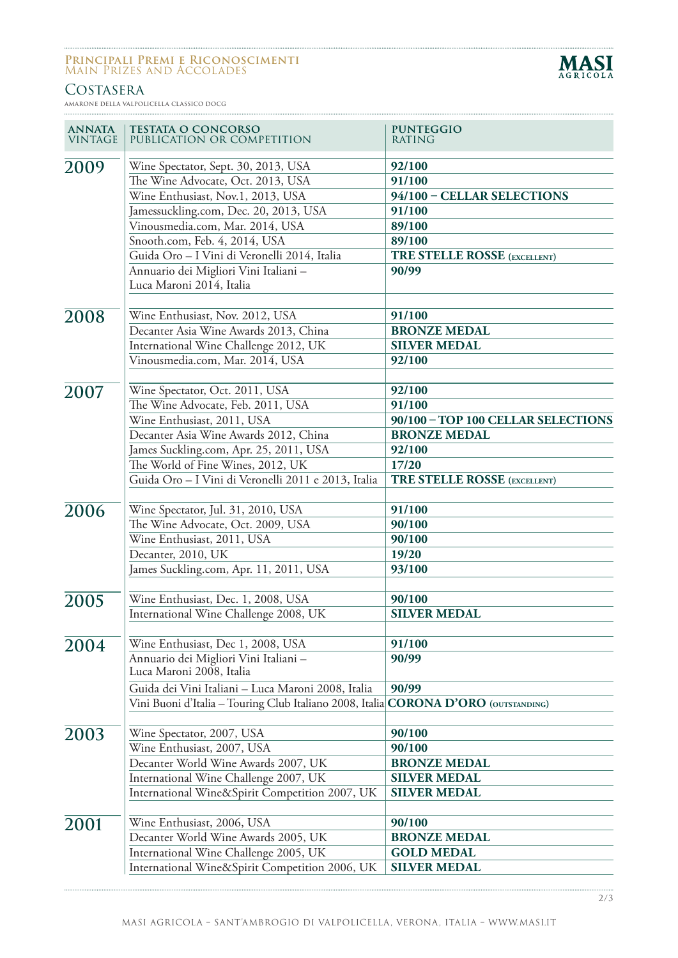### **Principali Premi e Riconoscimenti** Main Prizes and Accolades

# **COSTASERA**

**AMARONE DELLA VALPOLICELLA CLASSICO DOCG**



| <b>ANNATA</b><br><b>VINTAGE</b> | <b>TESTATA O CONCORSO</b><br>PUBLICATION OR COMPETITION                             | <b>PUNTEGGIO</b><br>RATING          |
|---------------------------------|-------------------------------------------------------------------------------------|-------------------------------------|
| 2009                            | Wine Spectator, Sept. 30, 2013, USA                                                 | 92/100                              |
|                                 | The Wine Advocate, Oct. 2013, USA                                                   | 91/100                              |
|                                 | Wine Enthusiast, Nov.1, 2013, USA                                                   | 94/100 - CELLAR SELECTIONS          |
|                                 | Jamessuckling.com, Dec. 20, 2013, USA                                               | 91/100                              |
|                                 | Vinousmedia.com, Mar. 2014, USA                                                     | 89/100                              |
|                                 | Snooth.com, Feb. 4, 2014, USA                                                       | 89/100                              |
|                                 | Guida Oro - I Vini di Veronelli 2014, Italia                                        | <b>TRE STELLE ROSSE</b> (EXCELLENT) |
|                                 | Annuario dei Migliori Vini Italiani -                                               | 90/99                               |
|                                 | Luca Maroni 2014, Italia                                                            |                                     |
| 2008                            | Wine Enthusiast, Nov. 2012, USA                                                     | 91/100                              |
|                                 | Decanter Asia Wine Awards 2013, China                                               | <b>BRONZE MEDAL</b>                 |
|                                 | International Wine Challenge 2012, UK                                               | <b>SILVER MEDAL</b>                 |
|                                 | Vinousmedia.com, Mar. 2014, USA                                                     | 92/100                              |
| 2007                            | Wine Spectator, Oct. 2011, USA                                                      | 92/100                              |
|                                 | The Wine Advocate, Feb. 2011, USA                                                   | 91/100                              |
|                                 | Wine Enthusiast, 2011, USA                                                          | 90/100 - TOP 100 CELLAR SELECTIONS  |
|                                 | Decanter Asia Wine Awards 2012, China                                               | <b>BRONZE MEDAL</b>                 |
|                                 | James Suckling.com, Apr. 25, 2011, USA                                              | 92/100                              |
|                                 | The World of Fine Wines, 2012, UK                                                   | 17/20                               |
|                                 | Guida Oro - I Vini di Veronelli 2011 e 2013, Italia                                 | <b>TRE STELLE ROSSE (EXCELLENT)</b> |
| 2006                            | Wine Spectator, Jul. 31, 2010, USA                                                  | 91/100                              |
|                                 | The Wine Advocate, Oct. 2009, USA                                                   | 90/100                              |
|                                 | Wine Enthusiast, 2011, USA                                                          | 90/100                              |
|                                 | Decanter, 2010, UK                                                                  | 19/20                               |
|                                 | James Suckling.com, Apr. 11, 2011, USA                                              | 93/100                              |
| 2005                            | Wine Enthusiast, Dec. 1, 2008, USA                                                  | 90/100                              |
|                                 | International Wine Challenge 2008, UK                                               | <b>SILVER MEDAL</b>                 |
| 2004                            | Wine Enthusiast, Dec 1, 2008, USA                                                   | 91/100                              |
|                                 | Annuario dei Migliori Vini Italiani -                                               | 90/99                               |
|                                 | Luca Maroni 2008, Italia<br>Guida dei Vini Italiani - Luca Maroni 2008, Italia      | 90/99                               |
|                                 | Vini Buoni d'Italia - Touring Club Italiano 2008, Italia CORONA D'ORO (OUTSTANDING) |                                     |
|                                 |                                                                                     |                                     |
| 2003                            | Wine Spectator, 2007, USA                                                           | 90/100                              |
|                                 | Wine Enthusiast, 2007, USA                                                          | 90/100                              |
|                                 | Decanter World Wine Awards 2007, UK                                                 | <b>BRONZE MEDAL</b>                 |
|                                 | International Wine Challenge 2007, UK                                               | <b>SILVER MEDAL</b>                 |
|                                 | International Wine&Spirit Competition 2007, UK                                      | <b>SILVER MEDAL</b>                 |
| 2001                            | Wine Enthusiast, 2006, USA                                                          | 90/100                              |
|                                 | Decanter World Wine Awards 2005, UK                                                 | <b>BRONZE MEDAL</b>                 |
|                                 | International Wine Challenge 2005, UK                                               | <b>GOLD MEDAL</b>                   |
|                                 | International Wine&Spirit Competition 2006, UK                                      | <b>SILVER MEDAL</b>                 |